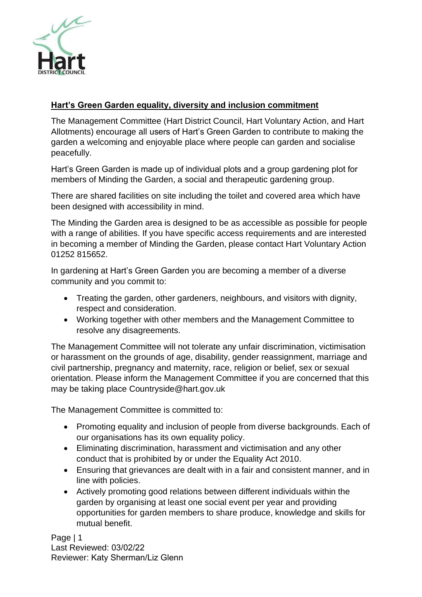

# **Hart's Green Garden equality, diversity and inclusion commitment**

The Management Committee (Hart District Council, Hart Voluntary Action, and Hart Allotments) encourage all users of Hart's Green Garden to contribute to making the garden a welcoming and enjoyable place where people can garden and socialise peacefully.

Hart's Green Garden is made up of individual plots and a group gardening plot for members of Minding the Garden, a social and therapeutic gardening group.

There are shared facilities on site including the toilet and covered area which have been designed with accessibility in mind.

The Minding the Garden area is designed to be as accessible as possible for people with a range of abilities. If you have specific access requirements and are interested in becoming a member of Minding the Garden, please contact Hart Voluntary Action 01252 815652.

In gardening at Hart's Green Garden you are becoming a member of a diverse community and you commit to:

- Treating the garden, other gardeners, neighbours, and visitors with dignity, respect and consideration.
- Working together with other members and the Management Committee to resolve any disagreements.

The Management Committee will not tolerate any unfair discrimination, victimisation or harassment on the grounds of age, disability, gender reassignment, marriage and civil partnership, pregnancy and maternity, race, religion or belief, sex or sexual orientation. Please inform the Management Committee if you are concerned that this may be taking place Countryside@hart.gov.uk

The Management Committee is committed to:

- Promoting equality and inclusion of people from diverse backgrounds. Each of our organisations has its own equality policy.
- Eliminating discrimination, harassment and victimisation and any other conduct that is prohibited by or under the Equality Act 2010.
- Ensuring that grievances are dealt with in a fair and consistent manner, and in line with policies.
- Actively promoting good relations between different individuals within the garden by organising at least one social event per year and providing opportunities for garden members to share produce, knowledge and skills for mutual benefit.

Page | 1 Last Reviewed: 03/02/22 Reviewer: Katy Sherman/Liz Glenn